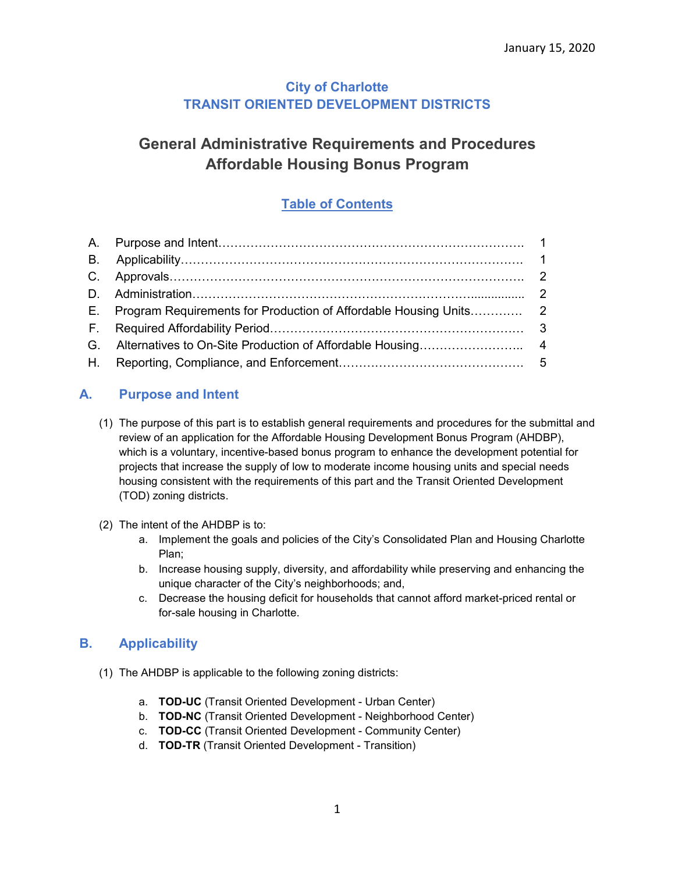# **City of Charlotte TRANSIT ORIENTED DEVELOPMENT DISTRICTS**

# **General Administrative Requirements and Procedures Affordable Housing Bonus Program**

# **Table of Contents**

# **A. Purpose and Intent**

- (1) The purpose of this part is to establish general requirements and procedures for the submittal and review of an application for the Affordable Housing Development Bonus Program (AHDBP), which is a voluntary, incentive-based bonus program to enhance the development potential for projects that increase the supply of low to moderate income housing units and special needs housing consistent with the requirements of this part and the Transit Oriented Development (TOD) zoning districts.
- (2) The intent of the AHDBP is to:
	- a. Implement the goals and policies of the City's Consolidated Plan and Housing Charlotte Plan;
	- b. Increase housing supply, diversity, and affordability while preserving and enhancing the unique character of the City's neighborhoods; and,
	- c. Decrease the housing deficit for households that cannot afford market-priced rental or for-sale housing in Charlotte.

# **B. Applicability**

- (1) The AHDBP is applicable to the following zoning districts:
	- a. **TOD-UC** (Transit Oriented Development Urban Center)
	- b. **TOD-NC** (Transit Oriented Development Neighborhood Center)
	- c. **TOD-CC** (Transit Oriented Development Community Center)
	- d. **TOD-TR** (Transit Oriented Development Transition)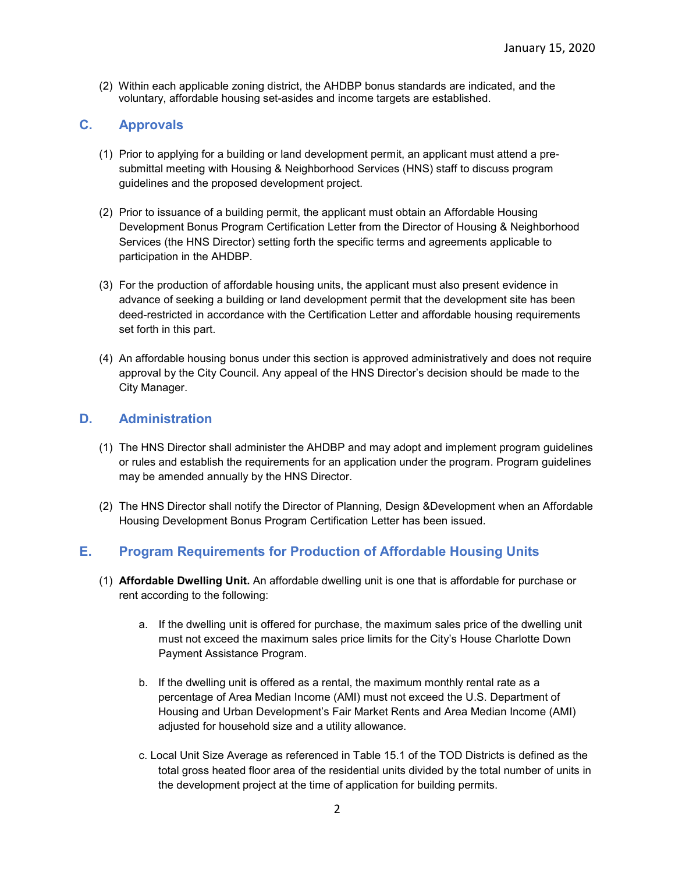(2) Within each applicable zoning district, the AHDBP bonus standards are indicated, and the voluntary, affordable housing set-asides and income targets are established.

## **C. Approvals**

- (1) Prior to applying for a building or land development permit, an applicant must attend a presubmittal meeting with Housing & Neighborhood Services (HNS) staff to discuss program guidelines and the proposed development project.
- (2) Prior to issuance of a building permit, the applicant must obtain an Affordable Housing Development Bonus Program Certification Letter from the Director of Housing & Neighborhood Services (the HNS Director) setting forth the specific terms and agreements applicable to participation in the AHDBP.
- (3) For the production of affordable housing units, the applicant must also present evidence in advance of seeking a building or land development permit that the development site has been deed-restricted in accordance with the Certification Letter and affordable housing requirements set forth in this part.
- (4) An affordable housing bonus under this section is approved administratively and does not require approval by the City Council. Any appeal of the HNS Director's decision should be made to the City Manager.

## **D. Administration**

- (1) The HNS Director shall administer the AHDBP and may adopt and implement program guidelines or rules and establish the requirements for an application under the program. Program guidelines may be amended annually by the HNS Director.
- (2) The HNS Director shall notify the Director of Planning, Design &Development when an Affordable Housing Development Bonus Program Certification Letter has been issued.

## **E. Program Requirements for Production of Affordable Housing Units**

- (1) **Affordable Dwelling Unit.** An affordable dwelling unit is one that is affordable for purchase or rent according to the following:
	- a. If the dwelling unit is offered for purchase, the maximum sales price of the dwelling unit must not exceed the maximum sales price limits for the City's House Charlotte Down Payment Assistance Program.
	- b. If the dwelling unit is offered as a rental, the maximum monthly rental rate as a percentage of Area Median Income (AMI) must not exceed the U.S. Department of Housing and Urban Development's Fair Market Rents and Area Median Income (AMI) adjusted for household size and a utility allowance.
	- c. Local Unit Size Average as referenced in Table 15.1 of the TOD Districts is defined as the total gross heated floor area of the residential units divided by the total number of units in the development project at the time of application for building permits.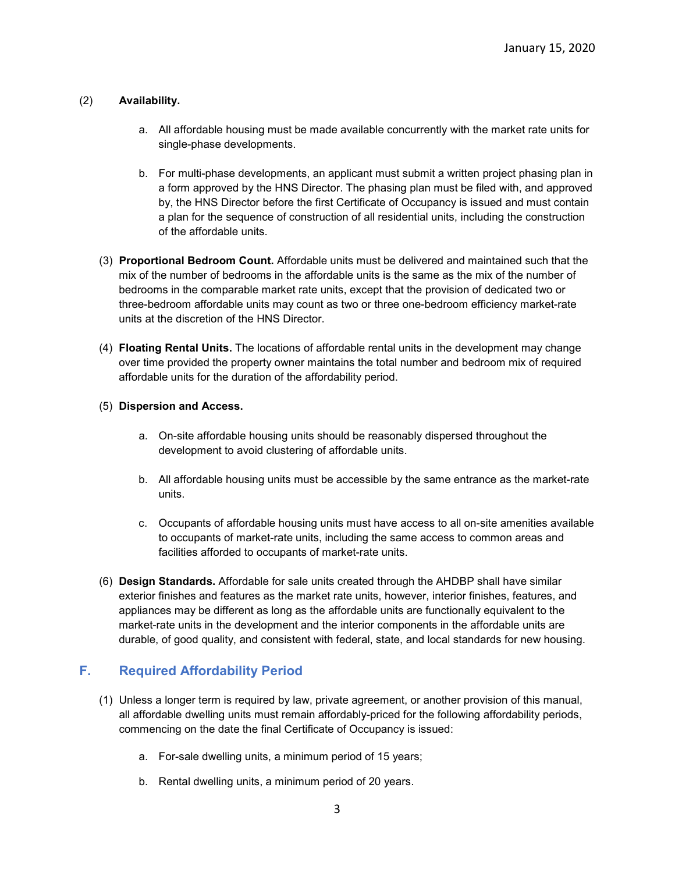#### (2) **Availability.**

- a. All affordable housing must be made available concurrently with the market rate units for single-phase developments.
- b. For multi-phase developments, an applicant must submit a written project phasing plan in a form approved by the HNS Director. The phasing plan must be filed with, and approved by, the HNS Director before the first Certificate of Occupancy is issued and must contain a plan for the sequence of construction of all residential units, including the construction of the affordable units.
- (3) **Proportional Bedroom Count.** Affordable units must be delivered and maintained such that the mix of the number of bedrooms in the affordable units is the same as the mix of the number of bedrooms in the comparable market rate units, except that the provision of dedicated two or three-bedroom affordable units may count as two or three one-bedroom efficiency market-rate units at the discretion of the HNS Director.
- (4) **Floating Rental Units.** The locations of affordable rental units in the development may change over time provided the property owner maintains the total number and bedroom mix of required affordable units for the duration of the affordability period.

#### (5) **Dispersion and Access.**

- a. On-site affordable housing units should be reasonably dispersed throughout the development to avoid clustering of affordable units.
- b. All affordable housing units must be accessible by the same entrance as the market-rate units.
- c. Occupants of affordable housing units must have access to all on-site amenities available to occupants of market-rate units, including the same access to common areas and facilities afforded to occupants of market-rate units.
- (6) **Design Standards.** Affordable for sale units created through the AHDBP shall have similar exterior finishes and features as the market rate units, however, interior finishes, features, and appliances may be different as long as the affordable units are functionally equivalent to the market-rate units in the development and the interior components in the affordable units are durable, of good quality, and consistent with federal, state, and local standards for new housing.

## **F. Required Affordability Period**

- (1) Unless a longer term is required by law, private agreement, or another provision of this manual, all affordable dwelling units must remain affordably-priced for the following affordability periods, commencing on the date the final Certificate of Occupancy is issued:
	- a. For-sale dwelling units, a minimum period of 15 years;
	- b. Rental dwelling units, a minimum period of 20 years.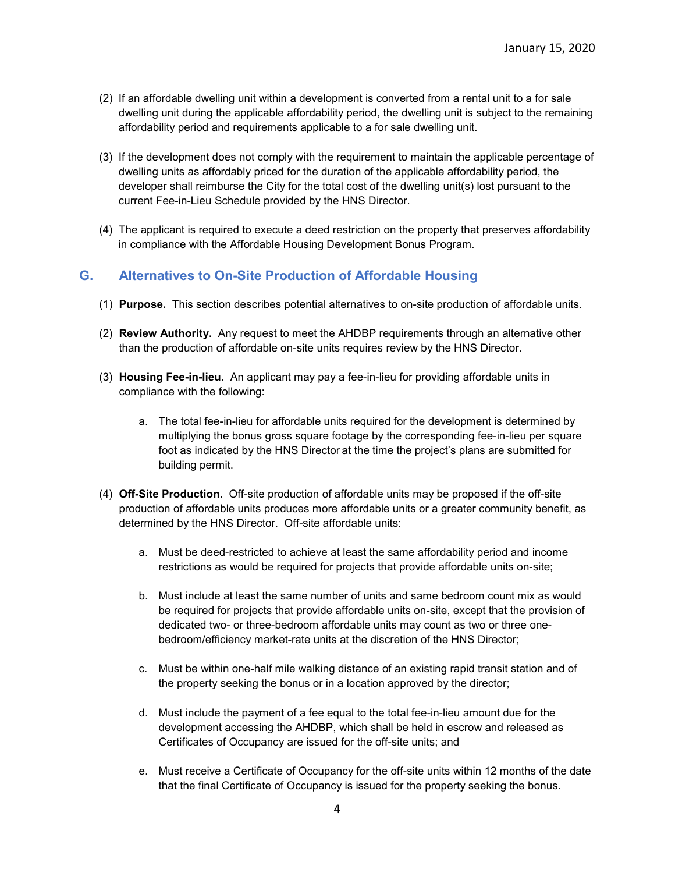- (2) If an affordable dwelling unit within a development is converted from a rental unit to a for sale dwelling unit during the applicable affordability period, the dwelling unit is subject to the remaining affordability period and requirements applicable to a for sale dwelling unit.
- (3) If the development does not comply with the requirement to maintain the applicable percentage of dwelling units as affordably priced for the duration of the applicable affordability period, the developer shall reimburse the City for the total cost of the dwelling unit(s) lost pursuant to the current Fee-in-Lieu Schedule provided by the HNS Director.
- (4) The applicant is required to execute a deed restriction on the property that preserves affordability in compliance with the Affordable Housing Development Bonus Program.

## **G. Alternatives to On-Site Production of Affordable Housing**

- (1) **Purpose.** This section describes potential alternatives to on-site production of affordable units.
- (2) **Review Authority.** Any request to meet the AHDBP requirements through an alternative other than the production of affordable on-site units requires review by the HNS Director.
- (3) **Housing Fee-in-lieu.** An applicant may pay a fee-in-lieu for providing affordable units in compliance with the following:
	- a. The total fee-in-lieu for affordable units required for the development is determined by multiplying the bonus gross square footage by the corresponding fee-in-lieu per square foot as indicated by the HNS Director at the time the project's plans are submitted for building permit.
- (4) **Off-Site Production.** Off-site production of affordable units may be proposed if the off-site production of affordable units produces more affordable units or a greater community benefit, as determined by the HNS Director. Off-site affordable units:
	- a. Must be deed-restricted to achieve at least the same affordability period and income restrictions as would be required for projects that provide affordable units on-site;
	- b. Must include at least the same number of units and same bedroom count mix as would be required for projects that provide affordable units on-site, except that the provision of dedicated two- or three-bedroom affordable units may count as two or three onebedroom/efficiency market-rate units at the discretion of the HNS Director;
	- c. Must be within one-half mile walking distance of an existing rapid transit station and of the property seeking the bonus or in a location approved by the director;
	- d. Must include the payment of a fee equal to the total fee-in-lieu amount due for the development accessing the AHDBP, which shall be held in escrow and released as Certificates of Occupancy are issued for the off-site units; and
	- e. Must receive a Certificate of Occupancy for the off-site units within 12 months of the date that the final Certificate of Occupancy is issued for the property seeking the bonus.